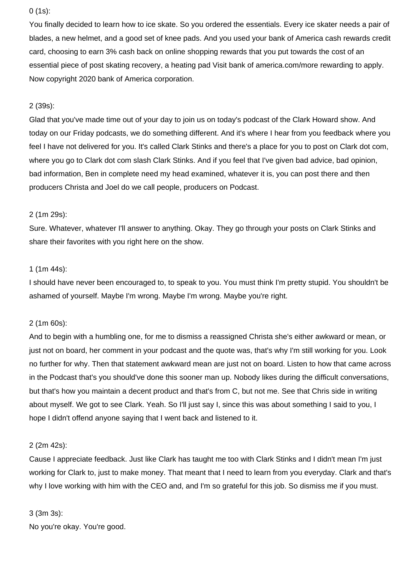### 0 (1s):

You finally decided to learn how to ice skate. So you ordered the essentials. Every ice skater needs a pair of blades, a new helmet, and a good set of knee pads. And you used your bank of America cash rewards credit card, choosing to earn 3% cash back on online shopping rewards that you put towards the cost of an essential piece of post skating recovery, a heating pad Visit bank of america.com/more rewarding to apply. Now copyright 2020 bank of America corporation.

# 2 (39s):

Glad that you've made time out of your day to join us on today's podcast of the Clark Howard show. And today on our Friday podcasts, we do something different. And it's where I hear from you feedback where you feel I have not delivered for you. It's called Clark Stinks and there's a place for you to post on Clark dot com, where you go to Clark dot com slash Clark Stinks. And if you feel that I've given bad advice, bad opinion, bad information, Ben in complete need my head examined, whatever it is, you can post there and then producers Christa and Joel do we call people, producers on Podcast.

### 2 (1m 29s):

Sure. Whatever, whatever I'll answer to anything. Okay. They go through your posts on Clark Stinks and share their favorites with you right here on the show.

# 1 (1m 44s):

I should have never been encouraged to, to speak to you. You must think I'm pretty stupid. You shouldn't be ashamed of yourself. Maybe I'm wrong. Maybe I'm wrong. Maybe you're right.

### 2 (1m 60s):

And to begin with a humbling one, for me to dismiss a reassigned Christa she's either awkward or mean, or just not on board, her comment in your podcast and the quote was, that's why I'm still working for you. Look no further for why. Then that statement awkward mean are just not on board. Listen to how that came across in the Podcast that's you should've done this sooner man up. Nobody likes during the difficult conversations, but that's how you maintain a decent product and that's from C, but not me. See that Chris side in writing about myself. We got to see Clark. Yeah. So I'll just say I, since this was about something I said to you, I hope I didn't offend anyone saying that I went back and listened to it.

### 2 (2m 42s):

Cause I appreciate feedback. Just like Clark has taught me too with Clark Stinks and I didn't mean I'm just working for Clark to, just to make money. That meant that I need to learn from you everyday. Clark and that's why I love working with him with the CEO and, and I'm so grateful for this job. So dismiss me if you must.

### 3 (3m 3s):

No you're okay. You're good.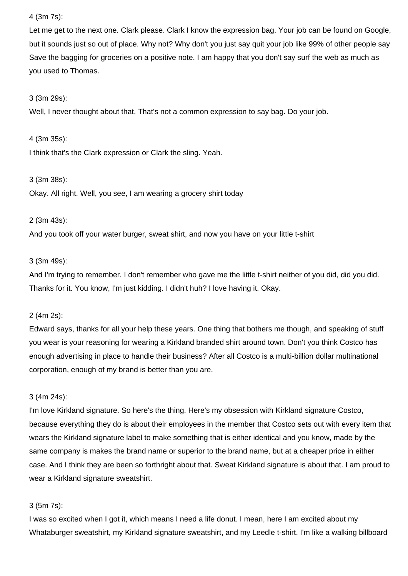### 4 (3m 7s):

Let me get to the next one. Clark please. Clark I know the expression bag. Your job can be found on Google, but it sounds just so out of place. Why not? Why don't you just say quit your job like 99% of other people say Save the bagging for groceries on a positive note. I am happy that you don't say surf the web as much as you used to Thomas.

#### 3 (3m 29s):

Well, I never thought about that. That's not a common expression to say bag. Do your job.

#### 4 (3m 35s):

I think that's the Clark expression or Clark the sling. Yeah.

#### 3 (3m 38s):

Okay. All right. Well, you see, I am wearing a grocery shirt today

#### 2 (3m 43s):

And you took off your water burger, sweat shirt, and now you have on your little t-shirt

### 3 (3m 49s):

And I'm trying to remember. I don't remember who gave me the little t-shirt neither of you did, did you did. Thanks for it. You know, I'm just kidding. I didn't huh? I love having it. Okay.

### 2 (4m 2s):

Edward says, thanks for all your help these years. One thing that bothers me though, and speaking of stuff you wear is your reasoning for wearing a Kirkland branded shirt around town. Don't you think Costco has enough advertising in place to handle their business? After all Costco is a multi-billion dollar multinational corporation, enough of my brand is better than you are.

#### 3 (4m 24s):

I'm love Kirkland signature. So here's the thing. Here's my obsession with Kirkland signature Costco, because everything they do is about their employees in the member that Costco sets out with every item that wears the Kirkland signature label to make something that is either identical and you know, made by the same company is makes the brand name or superior to the brand name, but at a cheaper price in either case. And I think they are been so forthright about that. Sweat Kirkland signature is about that. I am proud to wear a Kirkland signature sweatshirt.

#### 3 (5m 7s):

I was so excited when I got it, which means I need a life donut. I mean, here I am excited about my Whataburger sweatshirt, my Kirkland signature sweatshirt, and my Leedle t-shirt. I'm like a walking billboard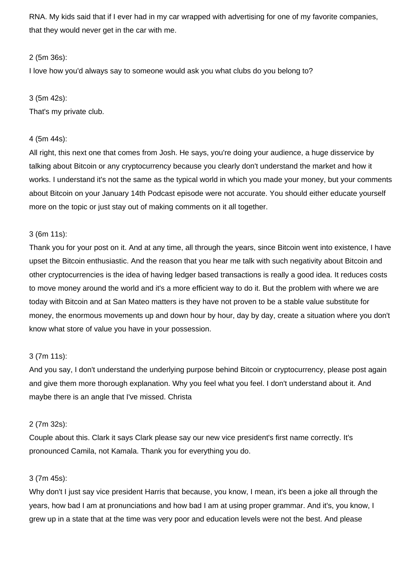RNA. My kids said that if I ever had in my car wrapped with advertising for one of my favorite companies, that they would never get in the car with me.

### 2 (5m 36s):

I love how you'd always say to someone would ask you what clubs do you belong to?

### 3 (5m 42s):

That's my private club.

### 4 (5m 44s):

All right, this next one that comes from Josh. He says, you're doing your audience, a huge disservice by talking about Bitcoin or any cryptocurrency because you clearly don't understand the market and how it works. I understand it's not the same as the typical world in which you made your money, but your comments about Bitcoin on your January 14th Podcast episode were not accurate. You should either educate yourself more on the topic or just stay out of making comments on it all together.

### 3 (6m 11s):

Thank you for your post on it. And at any time, all through the years, since Bitcoin went into existence, I have upset the Bitcoin enthusiastic. And the reason that you hear me talk with such negativity about Bitcoin and other cryptocurrencies is the idea of having ledger based transactions is really a good idea. It reduces costs to move money around the world and it's a more efficient way to do it. But the problem with where we are today with Bitcoin and at San Mateo matters is they have not proven to be a stable value substitute for money, the enormous movements up and down hour by hour, day by day, create a situation where you don't know what store of value you have in your possession.

### 3 (7m 11s):

And you say, I don't understand the underlying purpose behind Bitcoin or cryptocurrency, please post again and give them more thorough explanation. Why you feel what you feel. I don't understand about it. And maybe there is an angle that I've missed. Christa

### 2 (7m 32s):

Couple about this. Clark it says Clark please say our new vice president's first name correctly. It's pronounced Camila, not Kamala. Thank you for everything you do.

### 3 (7m 45s):

Why don't I just say vice president Harris that because, you know, I mean, it's been a joke all through the years, how bad I am at pronunciations and how bad I am at using proper grammar. And it's, you know, I grew up in a state that at the time was very poor and education levels were not the best. And please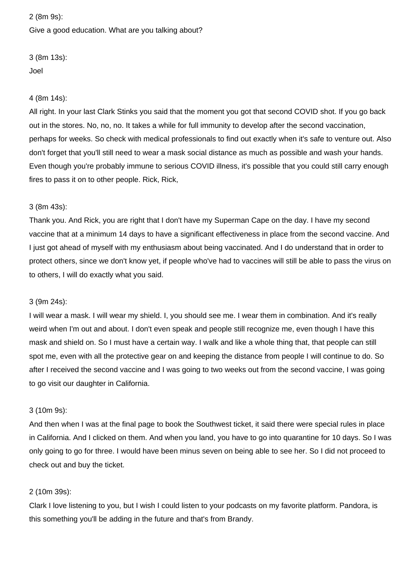# 2 (8m 9s): Give a good education. What are you talking about?

3 (8m 13s): Joel

# 4 (8m 14s):

All right. In your last Clark Stinks you said that the moment you got that second COVID shot. If you go back out in the stores. No, no, no. It takes a while for full immunity to develop after the second vaccination, perhaps for weeks. So check with medical professionals to find out exactly when it's safe to venture out. Also don't forget that you'll still need to wear a mask social distance as much as possible and wash your hands. Even though you're probably immune to serious COVID illness, it's possible that you could still carry enough fires to pass it on to other people. Rick, Rick,

# 3 (8m 43s):

Thank you. And Rick, you are right that I don't have my Superman Cape on the day. I have my second vaccine that at a minimum 14 days to have a significant effectiveness in place from the second vaccine. And I just got ahead of myself with my enthusiasm about being vaccinated. And I do understand that in order to protect others, since we don't know yet, if people who've had to vaccines will still be able to pass the virus on to others, I will do exactly what you said.

### 3 (9m 24s):

I will wear a mask. I will wear my shield. I, you should see me. I wear them in combination. And it's really weird when I'm out and about. I don't even speak and people still recognize me, even though I have this mask and shield on. So I must have a certain way. I walk and like a whole thing that, that people can still spot me, even with all the protective gear on and keeping the distance from people I will continue to do. So after I received the second vaccine and I was going to two weeks out from the second vaccine, I was going to go visit our daughter in California.

# 3 (10m 9s):

And then when I was at the final page to book the Southwest ticket, it said there were special rules in place in California. And I clicked on them. And when you land, you have to go into quarantine for 10 days. So I was only going to go for three. I would have been minus seven on being able to see her. So I did not proceed to check out and buy the ticket.

# 2 (10m 39s):

Clark I love listening to you, but I wish I could listen to your podcasts on my favorite platform. Pandora, is this something you'll be adding in the future and that's from Brandy.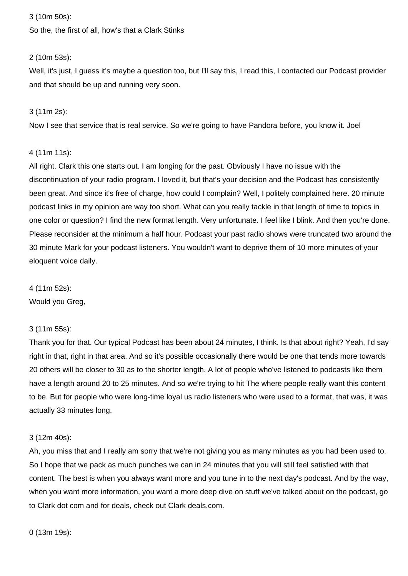### 3 (10m 50s):

So the, the first of all, how's that a Clark Stinks

### 2 (10m 53s):

Well, it's just, I guess it's maybe a question too, but I'll say this, I read this, I contacted our Podcast provider and that should be up and running very soon.

### 3 (11m 2s):

Now I see that service that is real service. So we're going to have Pandora before, you know it. Joel

### 4 (11m 11s):

All right. Clark this one starts out. I am longing for the past. Obviously I have no issue with the discontinuation of your radio program. I loved it, but that's your decision and the Podcast has consistently been great. And since it's free of charge, how could I complain? Well, I politely complained here. 20 minute podcast links in my opinion are way too short. What can you really tackle in that length of time to topics in one color or question? I find the new format length. Very unfortunate. I feel like I blink. And then you're done. Please reconsider at the minimum a half hour. Podcast your past radio shows were truncated two around the 30 minute Mark for your podcast listeners. You wouldn't want to deprive them of 10 more minutes of your eloquent voice daily.

4 (11m 52s):

Would you Greg,

### 3 (11m 55s):

Thank you for that. Our typical Podcast has been about 24 minutes, I think. Is that about right? Yeah, I'd say right in that, right in that area. And so it's possible occasionally there would be one that tends more towards 20 others will be closer to 30 as to the shorter length. A lot of people who've listened to podcasts like them have a length around 20 to 25 minutes. And so we're trying to hit The where people really want this content to be. But for people who were long-time loyal us radio listeners who were used to a format, that was, it was actually 33 minutes long.

### 3 (12m 40s):

Ah, you miss that and I really am sorry that we're not giving you as many minutes as you had been used to. So I hope that we pack as much punches we can in 24 minutes that you will still feel satisfied with that content. The best is when you always want more and you tune in to the next day's podcast. And by the way, when you want more information, you want a more deep dive on stuff we've talked about on the podcast, go to Clark dot com and for deals, check out Clark deals.com.

0 (13m 19s):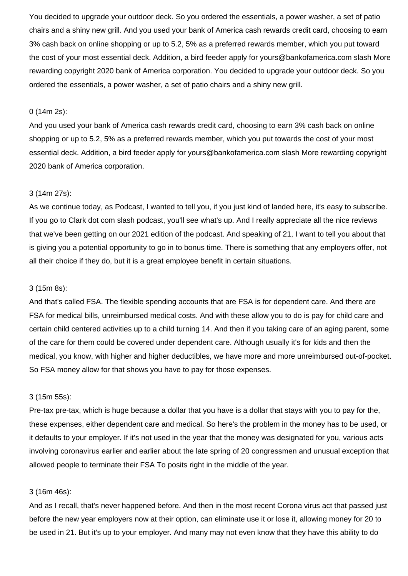You decided to upgrade your outdoor deck. So you ordered the essentials, a power washer, a set of patio chairs and a shiny new grill. And you used your bank of America cash rewards credit card, choosing to earn 3% cash back on online shopping or up to 5.2, 5% as a preferred rewards member, which you put toward the cost of your most essential deck. Addition, a bird feeder apply for yours@bankofamerica.com slash More rewarding copyright 2020 bank of America corporation. You decided to upgrade your outdoor deck. So you ordered the essentials, a power washer, a set of patio chairs and a shiny new grill.

#### 0 (14m 2s):

And you used your bank of America cash rewards credit card, choosing to earn 3% cash back on online shopping or up to 5.2, 5% as a preferred rewards member, which you put towards the cost of your most essential deck. Addition, a bird feeder apply for yours@bankofamerica.com slash More rewarding copyright 2020 bank of America corporation.

#### 3 (14m 27s):

As we continue today, as Podcast, I wanted to tell you, if you just kind of landed here, it's easy to subscribe. If you go to Clark dot com slash podcast, you'll see what's up. And I really appreciate all the nice reviews that we've been getting on our 2021 edition of the podcast. And speaking of 21, I want to tell you about that is giving you a potential opportunity to go in to bonus time. There is something that any employers offer, not all their choice if they do, but it is a great employee benefit in certain situations.

#### 3 (15m 8s):

And that's called FSA. The flexible spending accounts that are FSA is for dependent care. And there are FSA for medical bills, unreimbursed medical costs. And with these allow you to do is pay for child care and certain child centered activities up to a child turning 14. And then if you taking care of an aging parent, some of the care for them could be covered under dependent care. Although usually it's for kids and then the medical, you know, with higher and higher deductibles, we have more and more unreimbursed out-of-pocket. So FSA money allow for that shows you have to pay for those expenses.

#### 3 (15m 55s):

Pre-tax pre-tax, which is huge because a dollar that you have is a dollar that stays with you to pay for the, these expenses, either dependent care and medical. So here's the problem in the money has to be used, or it defaults to your employer. If it's not used in the year that the money was designated for you, various acts involving coronavirus earlier and earlier about the late spring of 20 congressmen and unusual exception that allowed people to terminate their FSA To posits right in the middle of the year.

#### 3 (16m 46s):

And as I recall, that's never happened before. And then in the most recent Corona virus act that passed just before the new year employers now at their option, can eliminate use it or lose it, allowing money for 20 to be used in 21. But it's up to your employer. And many may not even know that they have this ability to do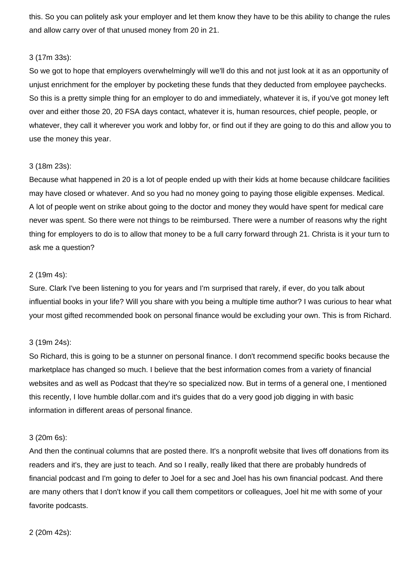this. So you can politely ask your employer and let them know they have to be this ability to change the rules and allow carry over of that unused money from 20 in 21.

### 3 (17m 33s):

So we got to hope that employers overwhelmingly will we'll do this and not just look at it as an opportunity of unjust enrichment for the employer by pocketing these funds that they deducted from employee paychecks. So this is a pretty simple thing for an employer to do and immediately, whatever it is, if you've got money left over and either those 20, 20 FSA days contact, whatever it is, human resources, chief people, people, or whatever, they call it wherever you work and lobby for, or find out if they are going to do this and allow you to use the money this year.

### 3 (18m 23s):

Because what happened in 20 is a lot of people ended up with their kids at home because childcare facilities may have closed or whatever. And so you had no money going to paying those eligible expenses. Medical. A lot of people went on strike about going to the doctor and money they would have spent for medical care never was spent. So there were not things to be reimbursed. There were a number of reasons why the right thing for employers to do is to allow that money to be a full carry forward through 21. Christa is it your turn to ask me a question?

### 2 (19m 4s):

Sure. Clark I've been listening to you for years and I'm surprised that rarely, if ever, do you talk about influential books in your life? Will you share with you being a multiple time author? I was curious to hear what your most gifted recommended book on personal finance would be excluding your own. This is from Richard.

### 3 (19m 24s):

So Richard, this is going to be a stunner on personal finance. I don't recommend specific books because the marketplace has changed so much. I believe that the best information comes from a variety of financial websites and as well as Podcast that they're so specialized now. But in terms of a general one, I mentioned this recently, I love humble dollar.com and it's guides that do a very good job digging in with basic information in different areas of personal finance.

### 3 (20m 6s):

And then the continual columns that are posted there. It's a nonprofit website that lives off donations from its readers and it's, they are just to teach. And so I really, really liked that there are probably hundreds of financial podcast and I'm going to defer to Joel for a sec and Joel has his own financial podcast. And there are many others that I don't know if you call them competitors or colleagues, Joel hit me with some of your favorite podcasts.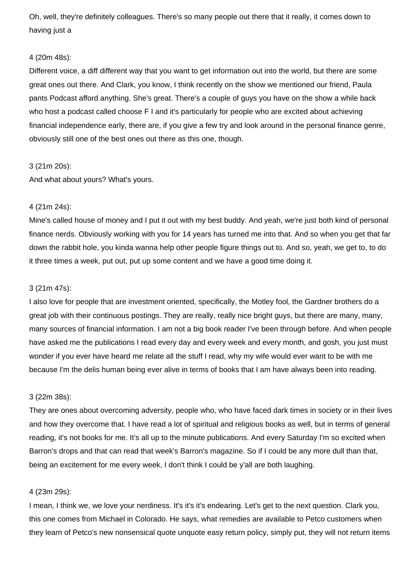Oh, well, they're definitely colleagues. There's so many people out there that it really, it comes down to having just a

### 4 (20m 48s):

Different voice, a diff different way that you want to get information out into the world, but there are some great ones out there. And Clark, you know, I think recently on the show we mentioned our friend, Paula pants Podcast afford anything. She's great. There's a couple of guys you have on the show a while back who host a podcast called choose F I and it's particularly for people who are excited about achieving financial independence early, there are, if you give a few try and look around in the personal finance genre, obviously still one of the best ones out there as this one, though.

#### 3 (21m 20s):

And what about yours? What's yours.

#### 4 (21m 24s):

Mine's called house of money and I put it out with my best buddy. And yeah, we're just both kind of personal finance nerds. Obviously working with you for 14 years has turned me into that. And so when you get that far down the rabbit hole, you kinda wanna help other people figure things out to. And so, yeah, we get to, to do it three times a week, put out, put up some content and we have a good time doing it.

#### 3 (21m 47s):

I also love for people that are investment oriented, specifically, the Motley fool, the Gardner brothers do a great job with their continuous postings. They are really, really nice bright guys, but there are many, many, many sources of financial information. I am not a big book reader I've been through before. And when people have asked me the publications I read every day and every week and every month, and gosh, you just must wonder if you ever have heard me relate all the stuff I read, why my wife would ever want to be with me because I'm the delis human being ever alive in terms of books that I am have always been into reading.

#### 3 (22m 38s):

They are ones about overcoming adversity, people who, who have faced dark times in society or in their lives and how they overcome that. I have read a lot of spiritual and religious books as well, but in terms of general reading, it's not books for me. It's all up to the minute publications. And every Saturday I'm so excited when Barron's drops and that can read that week's Barron's magazine. So if I could be any more dull than that, being an excitement for me every week, I don't think I could be y'all are both laughing.

#### 4 (23m 29s):

I mean, I think we, we love your nerdiness. It's it's it's endearing. Let's get to the next question. Clark you, this one comes from Michael in Colorado. He says, what remedies are available to Petco customers when they learn of Petco's new nonsensical quote unquote easy return policy, simply put, they will not return items